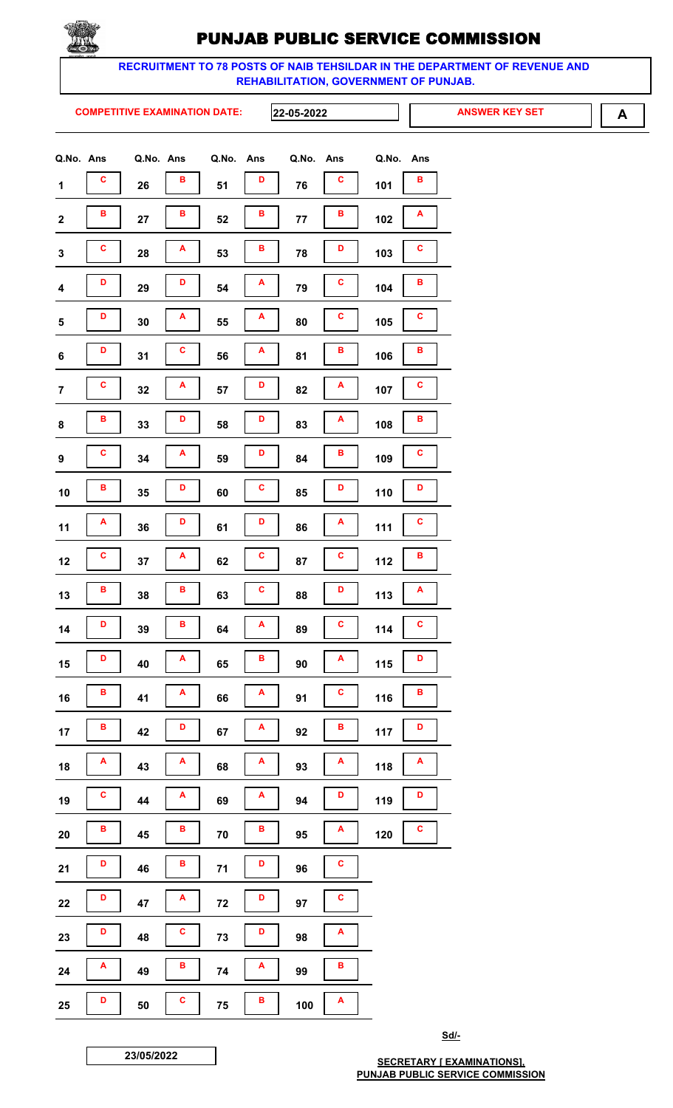

RECRUITMENT TO 78 POSTS OF NAIB TEHSILDAR IN THE DEPARTMENT OF REVENUE AND REHABILITATION, GOVERNMENT OF PUNJAB.

**COMPETITIVE EXAMINATION DATE:** 

22-05-2022

**ANSWER KEY SET** 

A

| Q.No. Ans               |   | Q.No. Ans |              | Q.No.  | Ans | Q.No. | Ans | Q.No. | Ans |
|-------------------------|---|-----------|--------------|--------|-----|-------|-----|-------|-----|
| $\mathbf 1$             | c | 26        | в            | 51     | D   | 76    | c   | 101   | в   |
| $\boldsymbol{2}$        | в | 27        | в            | 52     | В   | 77    | в   | 102   | Α   |
| $\mathbf 3$             | C | 28        | А            | 53     | в   | 78    | D   | 103   | C   |
| $\overline{\mathbf{4}}$ | D | 29        | D            | 54     | A   | 79    | c   | 104   | в   |
| 5                       | D | 30        | А            | 55     | A   | 80    | C   | 105   | C   |
| $\bf 6$                 | D | 31        | C            | 56     | A   | 81    | в   | 106   | в   |
| $\overline{7}$          | C | 32        | А            | 57     | D   | 82    | A   | 107   | C   |
| 8                       | в | 33        | D            | 58     | D   | 83    | Α   | 108   | в   |
| $\pmb{9}$               | C | 34        | A            | 59     | D   | 84    | в   | 109   | C   |
| 10                      | в | 35        | D            | 60     | C   | 85    | D   | 110   | D   |
| 11                      | A | 36        | D            | 61     | D   | 86    | A   | 111   | C   |
| 12                      | C | 37        | A            | 62     | C   | 87    | C   | 112   | в   |
| 13                      | в | 38        | в            | 63     | C   | 88    | D   | 113   | A   |
| 14                      | D | 39        | B            | 64     | A   | 89    | C   | $114$ | C   |
| 15                      | D | 40        | A            | 65     | В   | 90    | A   | 115   | D   |
| 16                      | в | 41        | A            | 66     | A   | 91    | C   | 116   | B   |
| 17                      | В | 42        | D            | 67     | A   | 92    | в   | 117   | D   |
| 18                      | A | 43        | A            | 68     | A   | 93    | A   | 118   | A   |
| 19                      | c | 44        | A            | 69     | A   | 94    | D   | 119   | D   |
| 20                      | в | 45        | в            | $70\,$ | В   | 95    | A   | 120   | C   |
| 21                      | D | 46        | в            | 71     | D   | 96    | C   |       |     |
| ${\bf 22}$              | D | 47        | A            | $72$   | D   | 97    | c   |       |     |
| 23                      | D | 48        | C            | 73     | D   | 98    | A   |       |     |
| 24                      | A | 49        | в            | 74     | A   | 99    | в   |       |     |
| 25                      | D | 50        | $\mathbf{c}$ | 75     | B   | 100   | A   |       |     |

Sd/-

23/05/2022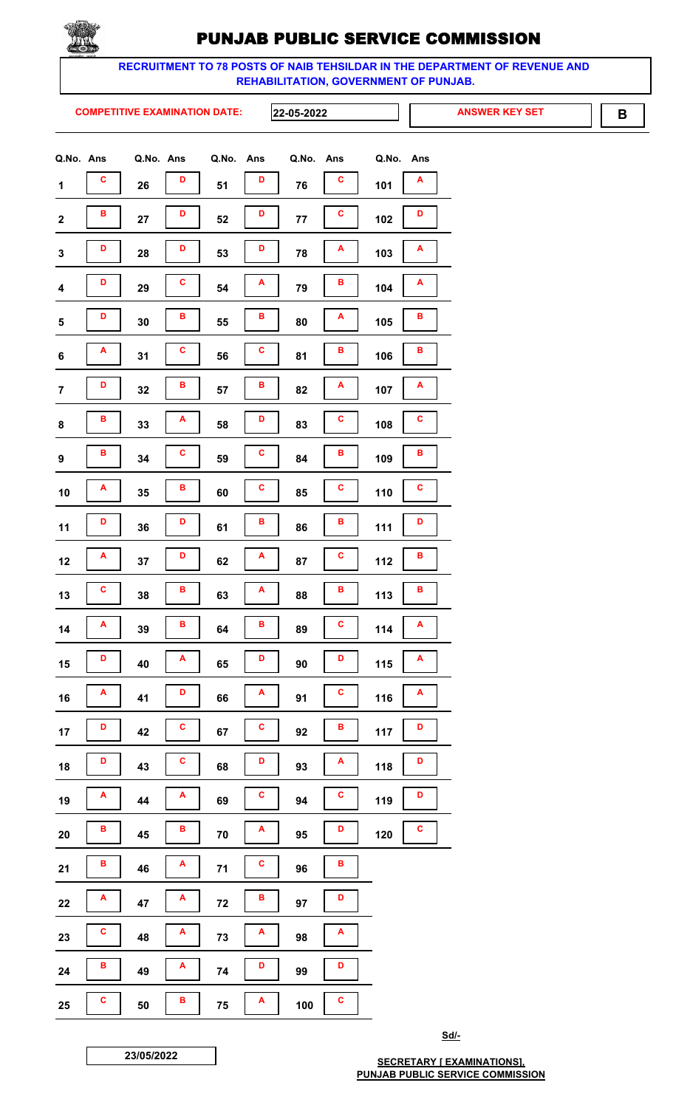

RECRUITMENT TO 78 POSTS OF NAIB TEHSILDAR IN THE DEPARTMENT OF REVENUE AND REHABILITATION, GOVERNMENT OF PUNJAB.

**COMPETITIVE EXAMINATION DATE:** 

22-05-2022

**ANSWER KEY SET** 

 $\mathbf B$ 

| Q.No. Ans               |   | Q.No. Ans |   | Q.No. | Ans         | Q.No. | Ans | Q.No. | Ans |
|-------------------------|---|-----------|---|-------|-------------|-------|-----|-------|-----|
| $\mathbf 1$             | c | 26        | D | 51    | D           | 76    | C   | 101   | A   |
| $\mathbf 2$             | В | 27        | D | 52    | D           | 77    | C   | 102   | D   |
| $\mathbf 3$             | D | 28        | D | 53    | D           | 78    | A   | 103   | A   |
| $\overline{\mathbf{4}}$ | D | 29        | C | 54    | Α           | 79    | в   | 104   | A   |
| ${\bf 5}$               | D | 30        | в | 55    | в           | 80    | Α   | 105   | В   |
| $\boldsymbol{6}$        | A | 31        | C | 56    | C           | 81    | в   | 106   | в   |
| $\overline{\mathbf{7}}$ | D | 32        | В | 57    | В           | 82    | A   | 107   | A   |
| ${\bf 8}$               | в | 33        | A | 58    | D           | 83    | С   | 108   | C   |
| $\boldsymbol{9}$        | в | 34        | c | 59    | C           | 84    | в   | 109   | в   |
| 10                      | Α | 35        | в | 60    | c           | 85    | С   | 110   | C   |
| 11                      | D | 36        | D | 61    | В           | 86    | в   | 111   | D   |
| 12                      | Α | 37        | D | 62    | A           | 87    | C   | 112   | B   |
| 13                      | c | 38        | В | 63    | A           | 88    | в   | 113   | в   |
| 14                      | A | 39        | B | 64    | В           | 89    | C   | 114   | A   |
| 15                      | D | 40        | A | 65    | D           | 90    | D   | 115   | A   |
| 16                      | A | 41        | D | 66    | A           | 91    | C   | 116   | A   |
| 17                      | D | 42        | C | 67    | C           | 92    | В   | 117   | D   |
| 18                      | D | 43        | C | 68    | D           | 93    | A   | 118   | D   |
| 19                      | A | 44        | A | 69    | $\mathbf c$ | 94    | c   | 119   | D   |
| 20                      | в | 45        | В | 70    | A           | 95    | D   | 120   | C   |
| 21                      | в | 46        | A | 71    | c           | 96    | в   |       |     |
| 22                      | A | 47        | A | 72    | В           | 97    | D   |       |     |
| 23                      | C | 48        | A | 73    | A           | 98    | A   |       |     |
| 24                      | в | 49        | A | 74    | D           | 99    | D   |       |     |
| 25                      | C | 50        | В | 75    | A           | 100   | C   |       |     |

Sd/-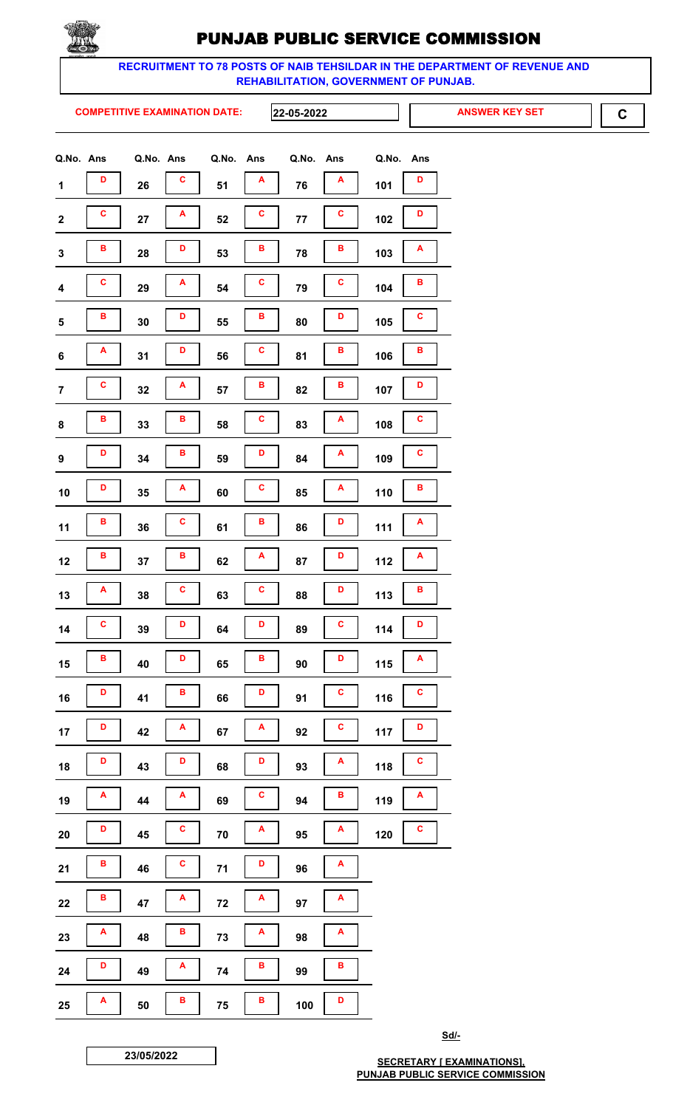

RECRUITMENT TO 78 POSTS OF NAIB TEHSILDAR IN THE DEPARTMENT OF REVENUE AND REHABILITATION, GOVERNMENT OF PUNJAB.

**COMPETITIVE EXAMINATION DATE:** 

22-05-2022

**ANSWER KEY SET** 

 $\mathbf C$ 

|                         | Q.No. Ans Q.No. Ans Q.No. |        |   |        | Ans | Q.No. Ans |              | Q.No. | Ans |
|-------------------------|---------------------------|--------|---|--------|-----|-----------|--------------|-------|-----|
| $\mathbf 1$             | D                         | 26     | c | 51     | A   | 76        | A            | 101   | D   |
| $\boldsymbol{2}$        | C                         | 27     | A | 52     | C   | 77        | C            | 102   | D   |
| ${\bf 3}$               | в                         | 28     | D | 53     | в   | 78        | в            | 103   | A   |
| $\overline{\mathbf{4}}$ | C                         | 29     | A | 54     | C   | 79        | c            | 104   | в   |
| 5                       | в                         | $30\,$ | D | 55     | в   | 80        | D            | 105   | C   |
| $\bf 6$                 | A                         | 31     | D | 56     | C   | 81        | в            | 106   | В   |
| $\overline{7}$          | C                         | 32     | A | 57     | В   | 82        | в            | 107   | D   |
| 8                       | в                         | 33     | в | 58     | c   | 83        | A            | 108   | C   |
| 9                       | D                         | 34     | в | 59     | D   | 84        | Α            | 109   | C   |
| 10                      | D                         | 35     | A | 60     | C   | 85        | Α            | 110   | в   |
| 11                      | в                         | 36     | c | 61     | в   | 86        | D            | 111   | A   |
| 12                      | В                         | 37     | В | 62     | A   | 87        | D            | 112   | A   |
| 13                      | A                         | 38     | C | 63     | c   | 88        | D            | 113   | в   |
| 14                      | C                         | 39     | D | 64     | D   | 89        | $\mathbf{c}$ | 114   | D   |
| 15                      | в                         | 40     | D | 65     | B   | 90        | D            | 115   | A   |
| 16                      | D                         | 41     | в | 66     | D   | 91        | C            | 116   | C   |
| 17                      | D                         | 42     | A | 67     | A   | 92        | C            | 117   | D   |
| 18                      | D                         | 43     | D | 68     | D   | 93        | A            | 118   | C   |
| 19                      | A                         | 44     | A | 69     | c   | 94        | в            | 119   | A   |
| ${\bf 20}$              | D                         | 45     | C | $70\,$ | A   | 95        | A            | 120   | C   |
| 21                      | в                         | 46     | C | 71     | D   | 96        | A            |       |     |
| 22                      | в                         | 47     | A | 72     | A   | 97        | A            |       |     |
| 23                      | A                         | 48     | В | 73     | A   | 98        | A            |       |     |
| 24                      | D                         | 49     | A | 74     | В   | 99        | В            |       |     |
| 25                      | A                         | 50     | В | 75     | B   | 100       | D            |       |     |

Sd/-

23/05/2022